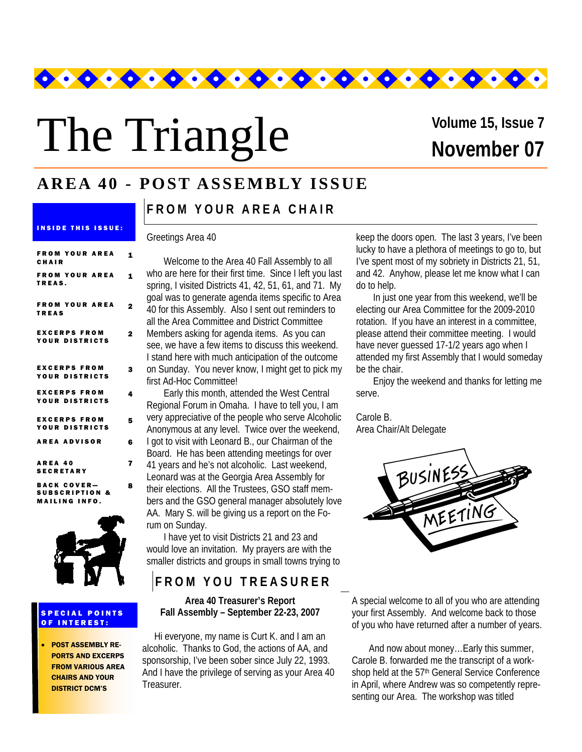

# The Triangle

# **November 07 Volume 15, Issue 7**

# **AREA 40 - POST ASSEMBLY ISSUE**

| <b>FROM YOUR AREA</b><br>CHAIR        | 1 |
|---------------------------------------|---|
| <b>FROM YOUR AREA</b><br>TREAS.       | 1 |
| <b>FROM YOUR AREA</b><br><b>TREAS</b> | 2 |
| <b>EXCERPS FROM</b><br>YOUR DISTRICTS | 2 |
| <b>EXCERPS FROM</b><br>YOUR DISTRICTS | 3 |
| <b>EXCERPS FROM</b><br>YOUR DISTRICTS | 4 |
| <b>EXCERPS FROM</b><br>YOUR DISTRICTS | 5 |
| <b>AREA ADVISOR</b>                   | 6 |
| AREA 40<br><b>SECRETARY</b>           | 7 |
| <b>BAAV AAVER</b>                     |   |

INSIDE THIS ISSUE:

BACK COVER— SUBSCRIPTION & MAILING INFO.



#### SPECIAL POINTS OF INTEREST:

• POST ASSEMBLY RE-PORTS AND EXCERPS FROM VARIOUS AREA CHAIRS AND YOUR DISTRICT DCM'S

**FROM YOUR AREA CHAIR** 

#### Greetings Area 40

8

| Welcome to the Area 40 Fall Assembly to all<br>who are here for their first time. Since I left you last<br>spring, I visited Districts 41, 42, 51, 61, and 71. My<br>goal was to generate agenda items specific to Area |
|-------------------------------------------------------------------------------------------------------------------------------------------------------------------------------------------------------------------------|
| 40 for this Assembly. Also I sent out reminders to                                                                                                                                                                      |
| all the Area Committee and District Committee                                                                                                                                                                           |
| Members asking for agenda items. As you can                                                                                                                                                                             |
| see, we have a few items to discuss this weekend.                                                                                                                                                                       |
| I stand here with much anticipation of the outcome                                                                                                                                                                      |
| on Sunday. You never know, I might get to pick my                                                                                                                                                                       |
| first Ad-Hoc Committee!                                                                                                                                                                                                 |
| Early this month, attended the West Central                                                                                                                                                                             |
| Regional Forum in Omaha. I have to tell you, I am                                                                                                                                                                       |
| very appreciative of the people who serve Alcoholic                                                                                                                                                                     |
|                                                                                                                                                                                                                         |

Anonymous at any level. Twice over the weekend, I got to visit with Leonard B., our Chairman of the

Board. He has been attending meetings for over 41 years and he's not alcoholic. Last weekend,

Leonard was at the Georgia Area Assembly for

their elections. All the Trustees, GSO staff members and the GSO general manager absolutely love AA. Mary S. will be giving us a report on the Forum on Sunday.

I have yet to visit Districts 21 and 23 and would love an invitation. My prayers are with the smaller districts and groups in small towns trying to

# **FROM YOU TREASURER**

**Area 40 Treasurer's Report Fall Assembly – September 22-23, 2007**

 Hi everyone, my name is Curt K. and I am an alcoholic. Thanks to God, the actions of AA, and sponsorship, I've been sober since July 22, 1993. And I have the privilege of serving as your Area 40 Treasurer.

keep the doors open. The last 3 years, I've been lucky to have a plethora of meetings to go to, but I've spent most of my sobriety in Districts 21, 51, and 42. Anyhow, please let me know what I can do to help.

In just one year from this weekend, we'll be electing our Area Committee for the 2009-2010 rotation. If you have an interest in a committee, please attend their committee meeting. I would have never quessed 17-1/2 years ago when I attended my first Assembly that I would someday be the chair.

Enjoy the weekend and thanks for letting me serve.

Carole B. Area Chair/Alt Delegate



A special welcome to all of you who are attending your first Assembly. And welcome back to those of you who have returned after a number of years.

And now about money…Early this summer, Carole B. forwarded me the transcript of a workshop held at the 57<sup>th</sup> General Service Conference in April, where Andrew was so competently representing our Area. The workshop was titled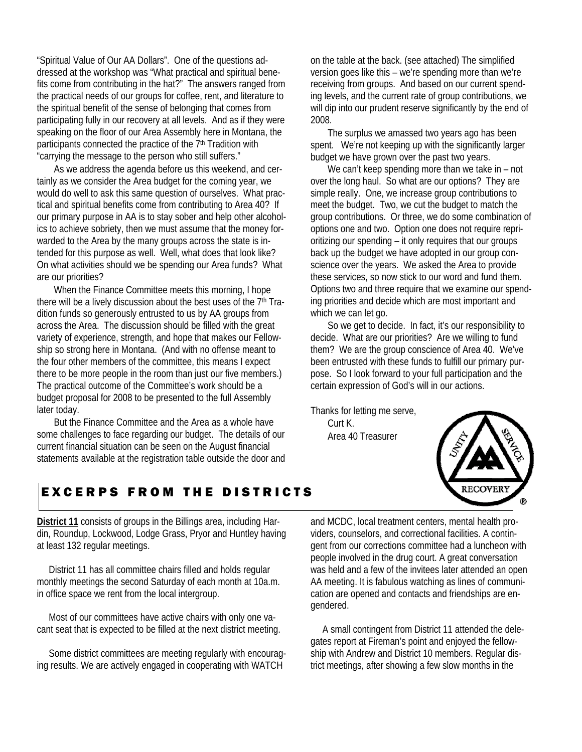"Spiritual Value of Our AA Dollars". One of the questions addressed at the workshop was "What practical and spiritual benefits come from contributing in the hat?" The answers ranged from the practical needs of our groups for coffee, rent, and literature to the spiritual benefit of the sense of belonging that comes from participating fully in our recovery at all levels. And as if they were speaking on the floor of our Area Assembly here in Montana, the participants connected the practice of the 7<sup>th</sup> Tradition with "carrying the message to the person who still suffers."

As we address the agenda before us this weekend, and certainly as we consider the Area budget for the coming year, we would do well to ask this same question of ourselves. What practical and spiritual benefits come from contributing to Area 40? If our primary purpose in AA is to stay sober and help other alcoholics to achieve sobriety, then we must assume that the money forwarded to the Area by the many groups across the state is intended for this purpose as well. Well, what does that look like? On what activities should we be spending our Area funds? What are our priorities?

When the Finance Committee meets this morning, I hope there will be a lively discussion about the best uses of the 7<sup>th</sup> Tradition funds so generously entrusted to us by AA groups from across the Area. The discussion should be filled with the great variety of experience, strength, and hope that makes our Fellowship so strong here in Montana. (And with no offense meant to the four other members of the committee, this means I expect there to be more people in the room than just our five members.) The practical outcome of the Committee's work should be a budget proposal for 2008 to be presented to the full Assembly later today.

But the Finance Committee and the Area as a whole have some challenges to face regarding our budget. The details of our current financial situation can be seen on the August financial statements available at the registration table outside the door and on the table at the back. (see attached) The simplified version goes like this – we're spending more than we're receiving from groups. And based on our current spending levels, and the current rate of group contributions, we will dip into our prudent reserve significantly by the end of 2008.

The surplus we amassed two years ago has been spent. We're not keeping up with the significantly larger budget we have grown over the past two years.

We can't keep spending more than we take in – not over the long haul. So what are our options? They are simple really. One, we increase group contributions to meet the budget. Two, we cut the budget to match the group contributions. Or three, we do some combination of options one and two. Option one does not require reprioritizing our spending – it only requires that our groups back up the budget we have adopted in our group conscience over the years. We asked the Area to provide these services, so now stick to our word and fund them. Options two and three require that we examine our spending priorities and decide which are most important and which we can let go.

So we get to decide. In fact, it's our responsibility to decide. What are our priorities? Are we willing to fund them? We are the group conscience of Area 40. We've been entrusted with these funds to fulfill our primary purpose. So I look forward to your full participation and the certain expression of God's will in our actions.

Thanks for letting me serve, Curt K. Area 40 Treasurer



# EXCERPS FROM THE DISTRICTS

**District 11** consists of groups in the Billings area, including Hardin, Roundup, Lockwood, Lodge Grass, Pryor and Huntley having at least 132 regular meetings.

 District 11 has all committee chairs filled and holds regular monthly meetings the second Saturday of each month at 10a.m. in office space we rent from the local intergroup.

 Most of our committees have active chairs with only one vacant seat that is expected to be filled at the next district meeting.

 Some district committees are meeting regularly with encouraging results. We are actively engaged in cooperating with WATCH

and MCDC, local treatment centers, mental health providers, counselors, and correctional facilities. A contingent from our corrections committee had a luncheon with people involved in the drug court. A great conversation was held and a few of the invitees later attended an open AA meeting. It is fabulous watching as lines of communication are opened and contacts and friendships are engendered.

 A small contingent from District 11 attended the delegates report at Fireman's point and enjoyed the fellowship with Andrew and District 10 members. Regular district meetings, after showing a few slow months in the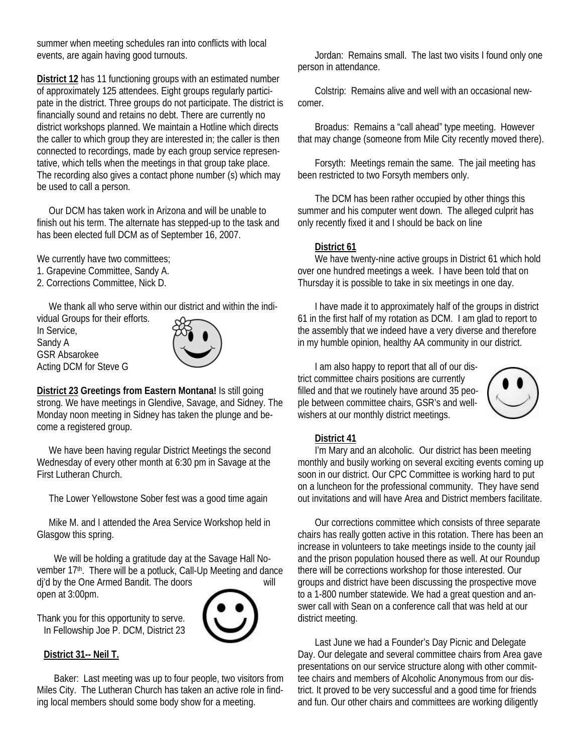summer when meeting schedules ran into conflicts with local events, are again having good turnouts.

**District 12** has 11 functioning groups with an estimated number of approximately 125 attendees. Eight groups regularly participate in the district. Three groups do not participate. The district is financially sound and retains no debt. There are currently no district workshops planned. We maintain a Hotline which directs the caller to which group they are interested in; the caller is then connected to recordings, made by each group service representative, which tells when the meetings in that group take place. The recording also gives a contact phone number (s) which may be used to call a person.

 Our DCM has taken work in Arizona and will be unable to finish out his term. The alternate has stepped-up to the task and has been elected full DCM as of September 16, 2007.

We currently have two committees;

- 1. Grapevine Committee, Sandy A.
- 2. Corrections Committee, Nick D.

We thank all who serve within our district and within the indi-

vidual Groups for their efforts. In Service, Sandy A GSR Absarokee Acting DCM for Steve G



**District 23 Greetings from Eastern Montana!** Is still going strong. We have meetings in Glendive, Savage, and Sidney. The Monday noon meeting in Sidney has taken the plunge and become a registered group.

 We have been having regular District Meetings the second Wednesday of every other month at 6:30 pm in Savage at the First Lutheran Church.

The Lower Yellowstone Sober fest was a good time again

 Mike M. and I attended the Area Service Workshop held in Glasgow this spring.

We will be holding a gratitude day at the Savage Hall November 17<sup>th</sup>. There will be a potluck, Call-Up Meeting and dance dj'd by the One Armed Bandit. The doors will



Thank you for this opportunity to serve. In Fellowship Joe P. DCM, District 23

#### **District 31-- Neil T.**

open at 3:00pm.

Baker: Last meeting was up to four people, two visitors from Miles City. The Lutheran Church has taken an active role in finding local members should some body show for a meeting.

Jordan: Remains small. The last two visits I found only one person in attendance.

Colstrip: Remains alive and well with an occasional newcomer.

Broadus: Remains a "call ahead" type meeting. However that may change (someone from Mile City recently moved there).

Forsyth: Meetings remain the same. The jail meeting has been restricted to two Forsyth members only.

The DCM has been rather occupied by other things this summer and his computer went down. The alleged culprit has only recently fixed it and I should be back on line

#### **District 61**

We have twenty-nine active groups in District 61 which hold over one hundred meetings a week. I have been told that on Thursday it is possible to take in six meetings in one day.

I have made it to approximately half of the groups in district 61 in the first half of my rotation as DCM. I am glad to report to the assembly that we indeed have a very diverse and therefore in my humble opinion, healthy AA community in our district.

I am also happy to report that all of our district committee chairs positions are currently filled and that we routinely have around 35 people between committee chairs, GSR's and wellwishers at our monthly district meetings.



#### **District 41**

I'm Mary and an alcoholic. Our district has been meeting monthly and busily working on several exciting events coming up soon in our district. Our CPC Committee is working hard to put on a luncheon for the professional community. They have send out invitations and will have Area and District members facilitate.

Our corrections committee which consists of three separate chairs has really gotten active in this rotation. There has been an increase in volunteers to take meetings inside to the county jail and the prison population housed there as well. At our Roundup there will be corrections workshop for those interested. Our groups and district have been discussing the prospective move to a 1-800 number statewide. We had a great question and answer call with Sean on a conference call that was held at our district meeting.

Last June we had a Founder's Day Picnic and Delegate Day. Our delegate and several committee chairs from Area gave presentations on our service structure along with other committee chairs and members of Alcoholic Anonymous from our district. It proved to be very successful and a good time for friends and fun. Our other chairs and committees are working diligently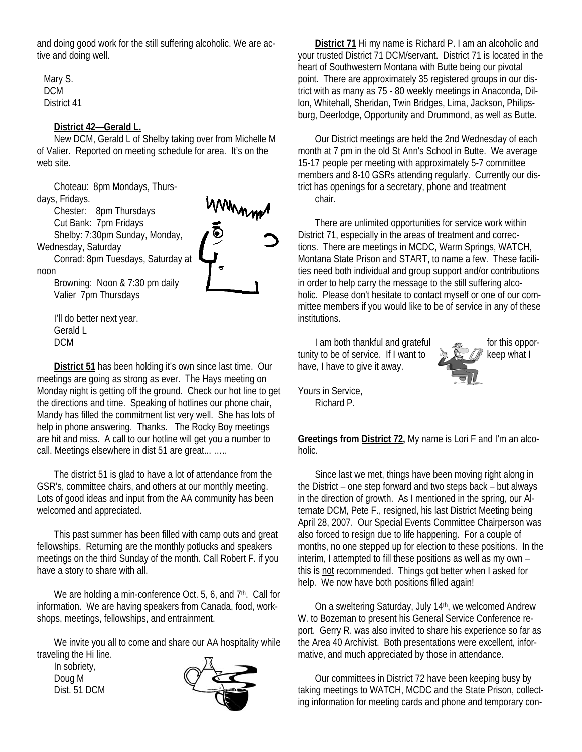and doing good work for the still suffering alcoholic. We are active and doing well.

Mary S. DCM District 41

#### **District 42—Gerald L.**

New DCM, Gerald L of Shelby taking over from Michelle M of Valier. Reported on meeting schedule for area. It's on the web site.

Choteau: 8pm Mondays, Thursdays, Fridays.

> Chester: 8pm Thursdays Cut Bank: 7pm Fridays

Shelby: 7:30pm Sunday, Monday,

Wednesday, Saturday

Conrad: 8pm Tuesdays, Saturday at noon



Browning: Noon & 7:30 pm daily Valier 7pm Thursdays

I'll do better next year. Gerald L DCM

**District 51** has been holding it's own since last time. Our meetings are going as strong as ever. The Hays meeting on Monday night is getting off the ground. Check our hot line to get the directions and time. Speaking of hotlines our phone chair, Mandy has filled the commitment list very well. She has lots of help in phone answering. Thanks. The Rocky Boy meetings are hit and miss. A call to our hotline will get you a number to call. Meetings elsewhere in dist 51 are great... …..

The district 51 is glad to have a lot of attendance from the GSR's, committee chairs, and others at our monthly meeting. Lots of good ideas and input from the AA community has been welcomed and appreciated.

This past summer has been filled with camp outs and great fellowships. Returning are the monthly potlucks and speakers meetings on the third Sunday of the month. Call Robert F. if you have a story to share with all.

We are holding a min-conference Oct. 5, 6, and 7<sup>th</sup>. Call for information. We are having speakers from Canada, food, workshops, meetings, fellowships, and entrainment.

We invite you all to come and share our AA hospitality while traveling the Hi line.

In sobriety, Doug M Dist. 51 DCM



**District 71** Hi my name is Richard P. I am an alcoholic and your trusted District 71 DCM/servant. District 71 is located in the heart of Southwestern Montana with Butte being our pivotal point. There are approximately 35 registered groups in our district with as many as 75 - 80 weekly meetings in Anaconda, Dillon, Whitehall, Sheridan, Twin Bridges, Lima, Jackson, Philipsburg, Deerlodge, Opportunity and Drummond, as well as Butte.

Our District meetings are held the 2nd Wednesday of each month at 7 pm in the old St Ann's School in Butte. We average 15-17 people per meeting with approximately 5-7 committee members and 8-10 GSRs attending regularly. Currently our district has openings for a secretary, phone and treatment chair.

There are unlimited opportunities for service work within District 71, especially in the areas of treatment and corrections. There are meetings in MCDC, Warm Springs, WATCH, Montana State Prison and START, to name a few. These facilities need both individual and group support and/or contributions in order to help carry the message to the still suffering alcoholic. Please don't hesitate to contact myself or one of our committee members if you would like to be of service in any of these institutions.

I am both thankful and grateful for this opportunity to be of service. If I want to keep what I have, I have to give it away.



Yours in Service, Richard P.

**Greetings from District 72,** My name is Lori F and I'm an alcoholic.

Since last we met, things have been moving right along in the District – one step forward and two steps back – but always in the direction of growth. As I mentioned in the spring, our Alternate DCM, Pete F., resigned, his last District Meeting being April 28, 2007. Our Special Events Committee Chairperson was also forced to resign due to life happening. For a couple of months, no one stepped up for election to these positions. In the interim, I attempted to fill these positions as well as my own – this is not recommended. Things got better when I asked for help. We now have both positions filled again!

On a sweltering Saturday, July 14th, we welcomed Andrew W. to Bozeman to present his General Service Conference report. Gerry R. was also invited to share his experience so far as the Area 40 Archivist. Both presentations were excellent, informative, and much appreciated by those in attendance.

Our committees in District 72 have been keeping busy by taking meetings to WATCH, MCDC and the State Prison, collecting information for meeting cards and phone and temporary con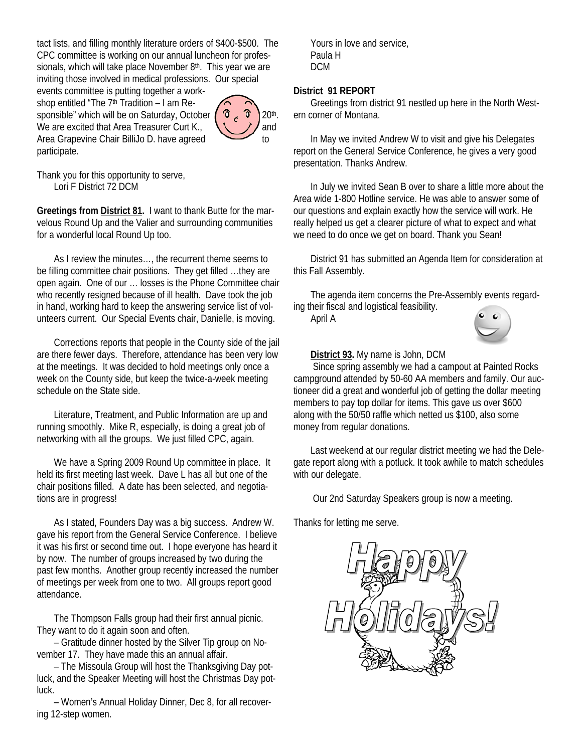tact lists, and filling monthly literature orders of \$400-\$500. The CPC committee is working on our annual luncheon for professionals, which will take place November  $8<sup>th</sup>$ . This year we are inviting those involved in medical professions. Our special

events committee is putting together a workshop entitled "The  $7<sup>th</sup>$  Tradition – I am Responsible" which will be on Saturday, October  $\begin{pmatrix} 0 & 0 \\ 0 & 1 \end{pmatrix}$  20<sup>th</sup>. We are excited that Area Treasurer Curt K.,  $\sqrt{1/2}$  and Area Grapevine Chair BilliJo D. have agreed to participate.



Thank you for this opportunity to serve, Lori F District 72 DCM

**Greetings from District 81.** I want to thank Butte for the marvelous Round Up and the Valier and surrounding communities for a wonderful local Round Up too.

As I review the minutes…, the recurrent theme seems to be filling committee chair positions. They get filled …they are open again. One of our … losses is the Phone Committee chair who recently resigned because of ill health. Dave took the job in hand, working hard to keep the answering service list of volunteers current. Our Special Events chair, Danielle, is moving.

Corrections reports that people in the County side of the jail are there fewer days. Therefore, attendance has been very low at the meetings. It was decided to hold meetings only once a week on the County side, but keep the twice-a-week meeting schedule on the State side.

Literature, Treatment, and Public Information are up and running smoothly. Mike R, especially, is doing a great job of networking with all the groups. We just filled CPC, again.

We have a Spring 2009 Round Up committee in place. It held its first meeting last week. Dave L has all but one of the chair positions filled. A date has been selected, and negotiations are in progress!

As I stated, Founders Day was a big success. Andrew W. gave his report from the General Service Conference. I believe it was his first or second time out. I hope everyone has heard it by now. The number of groups increased by two during the past few months. Another group recently increased the number of meetings per week from one to two. All groups report good attendance.

The Thompson Falls group had their first annual picnic. They want to do it again soon and often.

– Gratitude dinner hosted by the Silver Tip group on November 17. They have made this an annual affair.

– The Missoula Group will host the Thanksgiving Day potluck, and the Speaker Meeting will host the Christmas Day potluck.

– Women's Annual Holiday Dinner, Dec 8, for all recovering 12-step women.

Yours in love and service, Paula H DCM

#### **District 91 REPORT**

Greetings from district 91 nestled up here in the North Western corner of Montana.

In May we invited Andrew W to visit and give his Delegates report on the General Service Conference, he gives a very good presentation. Thanks Andrew.

In July we invited Sean B over to share a little more about the Area wide 1-800 Hotline service. He was able to answer some of our questions and explain exactly how the service will work. He really helped us get a clearer picture of what to expect and what we need to do once we get on board. Thank you Sean!

District 91 has submitted an Agenda Item for consideration at this Fall Assembly.

The agenda item concerns the Pre-Assembly events regarding their fiscal and logistical feasibility.

April A



#### **District 93.** My name is John, DCM

 Since spring assembly we had a campout at Painted Rocks campground attended by 50-60 AA members and family. Our auctioneer did a great and wonderful job of getting the dollar meeting members to pay top dollar for items. This gave us over \$600 along with the 50/50 raffle which netted us \$100, also some money from regular donations.

Last weekend at our regular district meeting we had the Delegate report along with a potluck. It took awhile to match schedules with our delegate.

Our 2nd Saturday Speakers group is now a meeting.

Thanks for letting me serve.

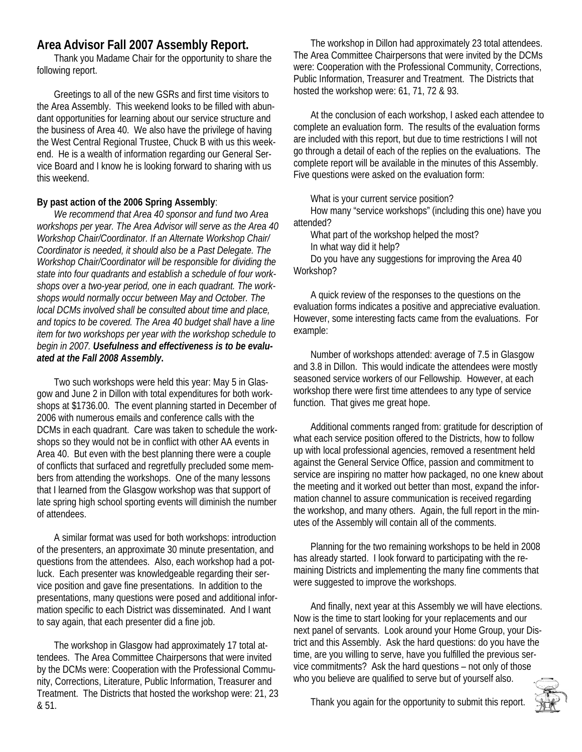### **Area Advisor Fall 2007 Assembly Report.**

Thank you Madame Chair for the opportunity to share the following report.

Greetings to all of the new GSRs and first time visitors to the Area Assembly. This weekend looks to be filled with abundant opportunities for learning about our service structure and the business of Area 40. We also have the privilege of having the West Central Regional Trustee, Chuck B with us this weekend. He is a wealth of information regarding our General Service Board and I know he is looking forward to sharing with us this weekend.

#### **By past action of the 2006 Spring Assembly**:

*We recommend that Area 40 sponsor and fund two Area workshops per year. The Area Advisor will serve as the Area 40 Workshop Chair/Coordinator. If an Alternate Workshop Chair/ Coordinator is needed, it should also be a Past Delegate. The Workshop Chair/Coordinator will be responsible for dividing the state into four quadrants and establish a schedule of four workshops over a two-year period, one in each quadrant. The workshops would normally occur between May and October. The local DCMs involved shall be consulted about time and place, and topics to be covered. The Area 40 budget shall have a line item for two workshops per year with the workshop schedule to begin in 2007. Usefulness and effectiveness is to be evaluated at the Fall 2008 Assembly***.**

Two such workshops were held this year: May 5 in Glasgow and June 2 in Dillon with total expenditures for both workshops at \$1736.00. The event planning started in December of 2006 with numerous emails and conference calls with the DCMs in each quadrant. Care was taken to schedule the workshops so they would not be in conflict with other AA events in Area 40. But even with the best planning there were a couple of conflicts that surfaced and regretfully precluded some members from attending the workshops. One of the many lessons that I learned from the Glasgow workshop was that support of late spring high school sporting events will diminish the number of attendees.

A similar format was used for both workshops: introduction of the presenters, an approximate 30 minute presentation, and questions from the attendees. Also, each workshop had a potluck. Each presenter was knowledgeable regarding their service position and gave fine presentations. In addition to the presentations, many questions were posed and additional information specific to each District was disseminated. And I want to say again, that each presenter did a fine job.

The workshop in Glasgow had approximately 17 total attendees. The Area Committee Chairpersons that were invited by the DCMs were: Cooperation with the Professional Community, Corrections, Literature, Public Information, Treasurer and Treatment. The Districts that hosted the workshop were: 21, 23 & 51.

The workshop in Dillon had approximately 23 total attendees. The Area Committee Chairpersons that were invited by the DCMs were: Cooperation with the Professional Community, Corrections, Public Information, Treasurer and Treatment. The Districts that hosted the workshop were: 61, 71, 72 & 93.

At the conclusion of each workshop, I asked each attendee to complete an evaluation form. The results of the evaluation forms are included with this report, but due to time restrictions I will not go through a detail of each of the replies on the evaluations. The complete report will be available in the minutes of this Assembly. Five questions were asked on the evaluation form:

What is your current service position?

How many "service workshops" (including this one) have you attended?

What part of the workshop helped the most?

In what way did it help?

Do you have any suggestions for improving the Area 40 Workshop?

A quick review of the responses to the questions on the evaluation forms indicates a positive and appreciative evaluation. However, some interesting facts came from the evaluations. For example:

Number of workshops attended: average of 7.5 in Glasgow and 3.8 in Dillon. This would indicate the attendees were mostly seasoned service workers of our Fellowship. However, at each workshop there were first time attendees to any type of service function. That gives me great hope.

Additional comments ranged from: gratitude for description of what each service position offered to the Districts, how to follow up with local professional agencies, removed a resentment held against the General Service Office, passion and commitment to service are inspiring no matter how packaged, no one knew about the meeting and it worked out better than most, expand the information channel to assure communication is received regarding the workshop, and many others. Again, the full report in the minutes of the Assembly will contain all of the comments.

Planning for the two remaining workshops to be held in 2008 has already started. I look forward to participating with the remaining Districts and implementing the many fine comments that were suggested to improve the workshops.

And finally, next year at this Assembly we will have elections. Now is the time to start looking for your replacements and our next panel of servants. Look around your Home Group, your District and this Assembly. Ask the hard questions: do you have the time, are you willing to serve, have you fulfilled the previous service commitments? Ask the hard questions – not only of those who you believe are qualified to serve but of yourself also.

Thank you again for the opportunity to submit this report.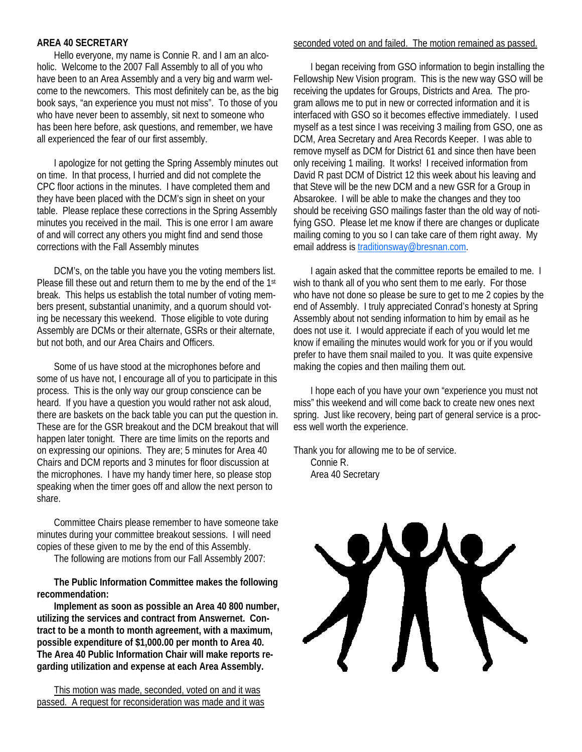#### **AREA 40 SECRETARY**

Hello everyone, my name is Connie R. and I am an alcoholic. Welcome to the 2007 Fall Assembly to all of you who have been to an Area Assembly and a very big and warm welcome to the newcomers. This most definitely can be, as the big book says, "an experience you must not miss". To those of you who have never been to assembly, sit next to someone who has been here before, ask questions, and remember, we have all experienced the fear of our first assembly.

I apologize for not getting the Spring Assembly minutes out on time. In that process, I hurried and did not complete the CPC floor actions in the minutes. I have completed them and they have been placed with the DCM's sign in sheet on your table. Please replace these corrections in the Spring Assembly minutes you received in the mail. This is one error I am aware of and will correct any others you might find and send those corrections with the Fall Assembly minutes

DCM's, on the table you have you the voting members list. Please fill these out and return them to me by the end of the 1st break. This helps us establish the total number of voting members present, substantial unanimity, and a quorum should voting be necessary this weekend. Those eligible to vote during Assembly are DCMs or their alternate, GSRs or their alternate, but not both, and our Area Chairs and Officers.

Some of us have stood at the microphones before and some of us have not, I encourage all of you to participate in this process. This is the only way our group conscience can be heard. If you have a question you would rather not ask aloud, there are baskets on the back table you can put the question in. These are for the GSR breakout and the DCM breakout that will happen later tonight. There are time limits on the reports and on expressing our opinions. They are; 5 minutes for Area 40 Chairs and DCM reports and 3 minutes for floor discussion at the microphones. I have my handy timer here, so please stop speaking when the timer goes off and allow the next person to share.

Committee Chairs please remember to have someone take minutes during your committee breakout sessions. I will need copies of these given to me by the end of this Assembly.

The following are motions from our Fall Assembly 2007:

**The Public Information Committee makes the following recommendation:** 

**Implement as soon as possible an Area 40 800 number, utilizing the services and contract from Answernet. Contract to be a month to month agreement, with a maximum, possible expenditure of \$1,000.00 per month to Area 40. The Area 40 Public Information Chair will make reports regarding utilization and expense at each Area Assembly.** 

This motion was made, seconded, voted on and it was passed. A request for reconsideration was made and it was

#### seconded voted on and failed. The motion remained as passed.

I began receiving from GSO information to begin installing the Fellowship New Vision program. This is the new way GSO will be receiving the updates for Groups, Districts and Area. The program allows me to put in new or corrected information and it is interfaced with GSO so it becomes effective immediately. I used myself as a test since I was receiving 3 mailing from GSO, one as DCM, Area Secretary and Area Records Keeper. I was able to remove myself as DCM for District 61 and since then have been only receiving 1 mailing. It works! I received information from David R past DCM of District 12 this week about his leaving and that Steve will be the new DCM and a new GSR for a Group in Absarokee. I will be able to make the changes and they too should be receiving GSO mailings faster than the old way of notifying GSO. Please let me know if there are changes or duplicate mailing coming to you so I can take care of them right away. My email address is traditionsway@bresnan.com.

I again asked that the committee reports be emailed to me. I wish to thank all of you who sent them to me early. For those who have not done so please be sure to get to me 2 copies by the end of Assembly. I truly appreciated Conrad's honesty at Spring Assembly about not sending information to him by email as he does not use it. I would appreciate if each of you would let me know if emailing the minutes would work for you or if you would prefer to have them snail mailed to you. It was quite expensive making the copies and then mailing them out.

I hope each of you have your own "experience you must not miss" this weekend and will come back to create new ones next spring. Just like recovery, being part of general service is a process well worth the experience.

Thank you for allowing me to be of service. Connie R. Area 40 Secretary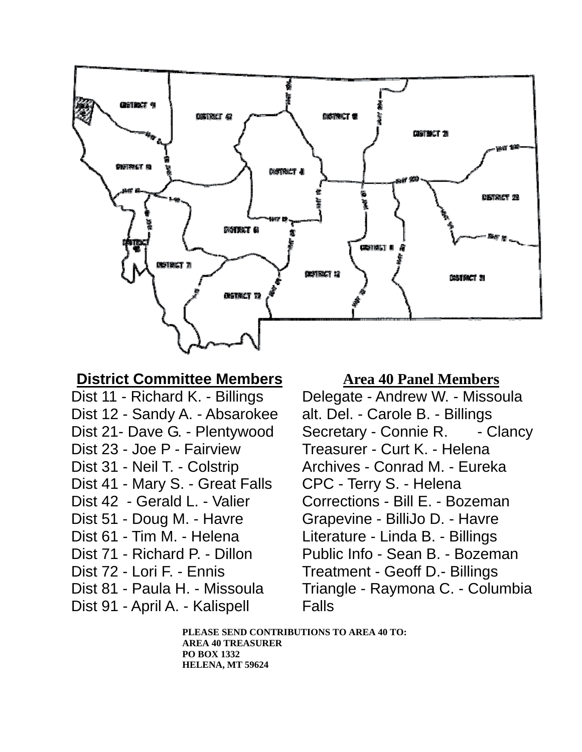

# **District Committee Members**

Dist 11 - Richard K. - Billings Dist 12 - Sandy A. - Absarokee Dist 21- Dave G. - Plentywood Dist 23 - Joe P - Fairview Dist 31 - Neil T. - Colstrip Dist 41 - Mary S. - Great Falls Dist 42 - Gerald L. - Valier Dist 51 - Doug M. - Havre Dist 61 - Tim M. - Helena Dist 71 - Richard P. - Dillon Dist 72 - Lori F. - Ennis Dist 81 - Paula H. - Missoula

Dist 91 - April A. - Kalispell

# **Area 40 Panel Members**

Delegate - Andrew W. - Missoula alt. Del. - Carole B. - Billings Secretary - Connie R. - Clancy Treasurer - Curt K. - Helena Archives - Conrad M. - Eureka CPC - Terry S. - Helena Corrections - Bill E. - Bozeman Grapevine - BilliJo D. - Havre Literature - Linda B. - Billings Public Info - Sean B. - Bozeman Treatment - Geoff D.- Billings Triangle - Raymona C. - Columbia Falls

**PLEASE SEND CONTRIBUTIONS TO AREA 40 TO: AREA 40 TREASURER PO BOX 1332 HELENA, MT 59624**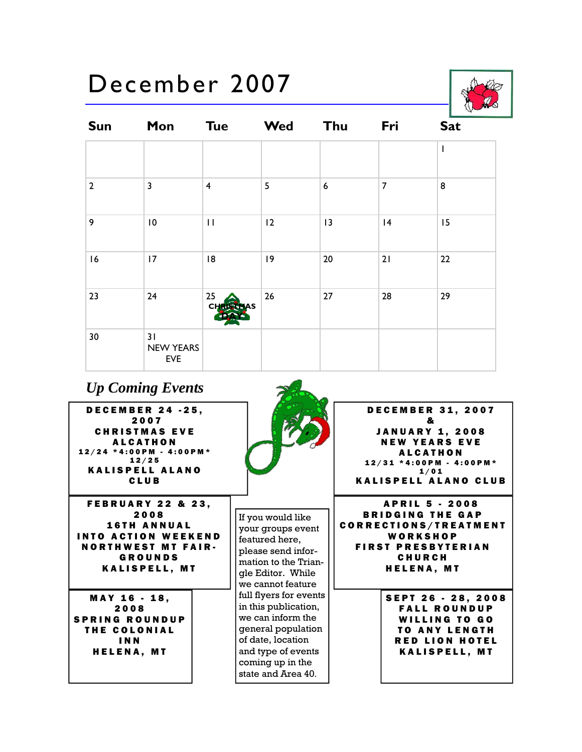# December 2007



| <b>Sun</b>     | Mon                           | <b>Tue</b>                                                                                   | <b>Wed</b> | Thu              | Fri            | <b>Sat</b>               |
|----------------|-------------------------------|----------------------------------------------------------------------------------------------|------------|------------------|----------------|--------------------------|
|                |                               |                                                                                              |            |                  |                | $\overline{\phantom{a}}$ |
| $\overline{2}$ | 3                             | $\overline{\mathbf{4}}$                                                                      | 5          | $\boldsymbol{6}$ | $\overline{7}$ | 8                        |
| 9              | $\overline{10}$               | $\mathsf{H}% _{0}\left( \mathcal{M}_{0}\right) =\mathsf{H}_{0}\left( \mathcal{M}_{0}\right)$ | 12         | 13               | 4              | 15                       |
| 16             | 17                            | 8                                                                                            | 9          | $20\,$           | 21             | 22                       |
| 23             | 24                            | 25<br><b>CHRI</b>                                                                            | 26         | 27               | 28             | 29                       |
| $30$           | 31<br><b>NEW YEARS</b><br>EVE |                                                                                              |            |                  |                |                          |

# *Up Coming Events*

DECEMBER 24 -25, 2007 CHRISTMAS EVE **ALCATHON** 12/24 \*4:00PM - 4:00PM\* 12/25 KALISPELL ALANO CLUB

FEBRUARY 22 & 23, 2008 16TH ANNUAL INTO ACTION WEEKEND NORTHWEST MT FAIR-GROUNDS KALISPELL, MT

MAY 16 - 18, 2008 SPRING ROUNDUP THE COLONIAL INN HELENA, MT



If you would like your groups event featured here, please send information to the Triangle Editor. While we cannot feature full flyers for events in this publication, we can inform the general population of date, location and type of events coming up in the state and Area 40.

DECEMBER 31, 2007 & JANUARY 1, 2008 NEW YEARS EVE ALCATHON 12/31 \*4:00PM - 4:00PM\* 1/01 KALISPELL ALANO CLUB

APRIL 5 - 2008 BRIDGING THE GAP CORRECTIONS/TREATMENT **WORKSHOP** FIRST PRESBYTERIAN CHURCH HELENA, MT

> SEPT 26 - 28, 2008 FALL ROUNDUP WILLING TO GO TO ANY LENGTH RED LION HOTEL KALISPELL, MT